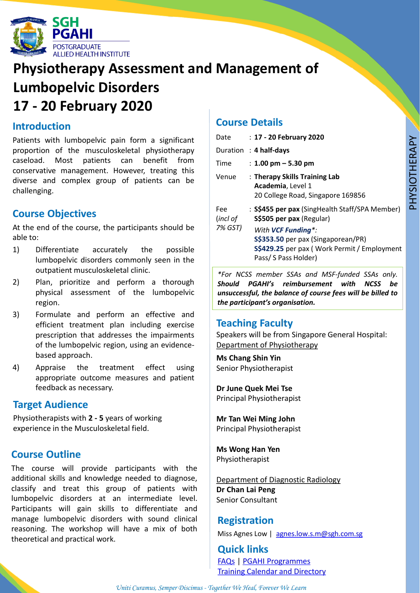

# **Physiotherapy Assessment and Management of Lumbopelvic Disorders 17 - 20 February 2020**

#### **Introduction**

Patients with lumbopelvic pain form a significant proportion of the musculoskeletal physiotherapy caseload. Most patients can benefit from conservative management. However, treating this diverse and complex group of patients can be challenging.

### **Course Objectives**

At the end of the course, the participants should be able to:

- 1) Differentiate accurately the possible lumbopelvic disorders commonly seen in the outpatient musculoskeletal clinic.
- 2) Plan, prioritize and perform a thorough physical assessment of the lumbopelvic region.
- 3) Formulate and perform an effective and efficient treatment plan including exercise prescription that addresses the impairments of the lumbopelvic region, using an evidencebased approach.
- 4) Appraise the treatment effect using appropriate outcome measures and patient feedback as necessary.

#### **Target Audience**

Physiotherapists with **2 - 5** years of working experience in the Musculoskeletal field.

### **Course Outline**

The course will provide participants with the additional skills and knowledge needed to diagnose, classify and treat this group of patients with lumbopelvic disorders at an intermediate level. Participants will gain skills to differentiate and manage lumbopelvic disorders with sound clinical reasoning. The workshop will have a mix of both theoretical and practical work.

#### **Course Details**

| Date                       | : 17 - 20 February 2020                                                                                                                                                                                               |
|----------------------------|-----------------------------------------------------------------------------------------------------------------------------------------------------------------------------------------------------------------------|
|                            | Duration : $4$ half-days                                                                                                                                                                                              |
| Time                       | : 1.00 pm $-$ 5.30 pm                                                                                                                                                                                                 |
| Venue                      | : Therapy Skills Training Lab<br>Academia, Level 1<br>20 College Road, Singapore 169856                                                                                                                               |
| Fee<br>(incl of<br>7% GST) | : S\$455 per pax (SingHealth Staff/SPA Member)<br>S\$505 per pax (Regular)<br>With <b>VCF Funding</b> *:<br>S\$353.50 per pax (Singaporean/PR)<br>S\$429.25 per pax (Work Permit / Employment<br>Pass/ S Pass Holder) |

*\*For NCSS member SSAs and MSF-funded SSAs only. Should PGAHI's reimbursement with NCSS be unsuccessful, the balance of course fees will be billed to the participant's organisation.*

#### **Teaching Faculty**

Speakers will be from Singapore General Hospital: Department of Physiotherapy

**Ms Chang Shin Yin**  Senior Physiotherapist

**Dr June Quek Mei Tse** Principal Physiotherapist

**Mr Tan Wei Ming John** Principal Physiotherapist

**Ms Wong Han Yen** Physiotherapist

Department of Diagnostic Radiology **Dr Chan Lai Peng**  Senior Consultant

#### **Registration**

Miss Agnes Low | [agnes.low.s.m@sgh.com.sg](mailto:agnes.low.s.m@sgh.com.sg)

**Quick links** [FAQs](https://www.sgh.com.sg/pgahi/programmes/Pages/FAQs.aspx) | PGAHI [Programmes](https://www.sgh.com.sg/pgahi/programmes/Pages/programmeoverview.aspx) Training Calendar and [Directory](https://www.sgh.com.sg/pgahi/training-calendar-directory)